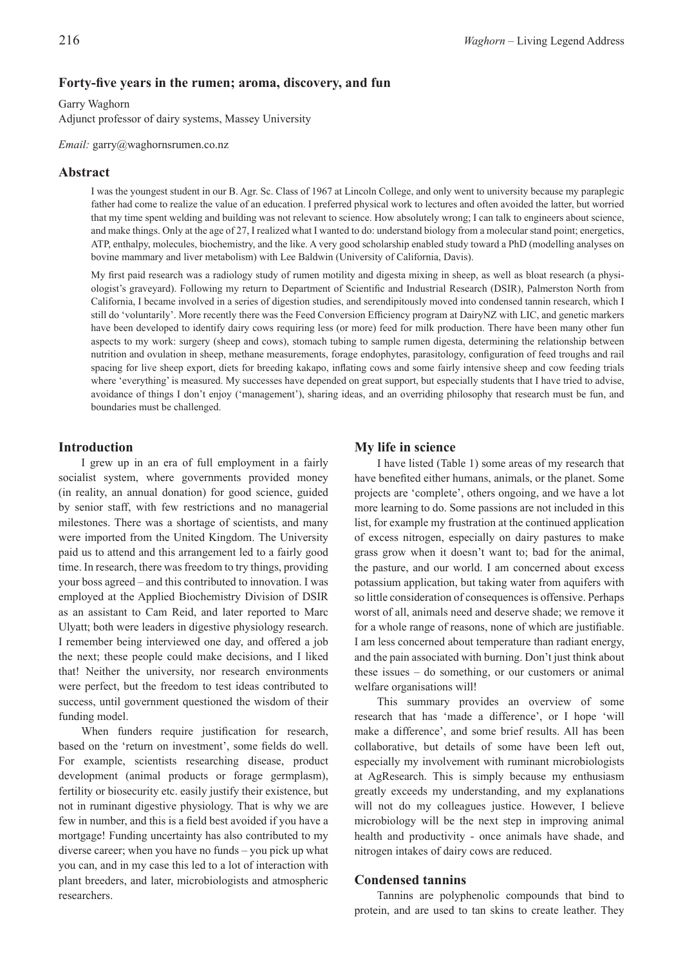# **Forty-five years in the rumen; aroma, discovery, and fun**

#### Garry Waghorn

Adjunct professor of dairy systems, Massey University

*Email:* garry@waghornsrumen.co.nz

## **Abstract**

I was the youngest student in our B. Agr. Sc. Class of 1967 at Lincoln College, and only went to university because my paraplegic father had come to realize the value of an education. I preferred physical work to lectures and often avoided the latter, but worried that my time spent welding and building was not relevant to science. How absolutely wrong; I can talk to engineers about science, and make things. Only at the age of 27, I realized what I wanted to do: understand biology from a molecular stand point; energetics, ATP, enthalpy, molecules, biochemistry, and the like. A very good scholarship enabled study toward a PhD (modelling analyses on bovine mammary and liver metabolism) with Lee Baldwin (University of California, Davis).

My first paid research was a radiology study of rumen motility and digesta mixing in sheep, as well as bloat research (a physiologist's graveyard). Following my return to Department of Scientific and Industrial Research (DSIR), Palmerston North from California, I became involved in a series of digestion studies, and serendipitously moved into condensed tannin research, which I still do 'voluntarily'. More recently there was the Feed Conversion Efficiency program at DairyNZ with LIC, and genetic markers have been developed to identify dairy cows requiring less (or more) feed for milk production. There have been many other fun aspects to my work: surgery (sheep and cows), stomach tubing to sample rumen digesta, determining the relationship between nutrition and ovulation in sheep, methane measurements, forage endophytes, parasitology, configuration of feed troughs and rail spacing for live sheep export, diets for breeding kakapo, inflating cows and some fairly intensive sheep and cow feeding trials where 'everything' is measured. My successes have depended on great support, but especially students that I have tried to advise, avoidance of things I don't enjoy ('management'), sharing ideas, and an overriding philosophy that research must be fun, and boundaries must be challenged.

## **Introduction**

I grew up in an era of full employment in a fairly socialist system, where governments provided money (in reality, an annual donation) for good science, guided by senior staff, with few restrictions and no managerial milestones. There was a shortage of scientists, and many were imported from the United Kingdom. The University paid us to attend and this arrangement led to a fairly good time. In research, there was freedom to try things, providing your boss agreed – and this contributed to innovation. I was employed at the Applied Biochemistry Division of DSIR as an assistant to Cam Reid, and later reported to Marc Ulyatt; both were leaders in digestive physiology research. I remember being interviewed one day, and offered a job the next; these people could make decisions, and I liked that! Neither the university, nor research environments were perfect, but the freedom to test ideas contributed to success, until government questioned the wisdom of their funding model.

When funders require justification for research, based on the 'return on investment', some fields do well. For example, scientists researching disease, product development (animal products or forage germplasm), fertility or biosecurity etc. easily justify their existence, but not in ruminant digestive physiology. That is why we are few in number, and this is a field best avoided if you have a mortgage! Funding uncertainty has also contributed to my diverse career; when you have no funds – you pick up what you can, and in my case this led to a lot of interaction with plant breeders, and later, microbiologists and atmospheric researchers.

## **My life in science**

I have listed (Table 1) some areas of my research that have benefited either humans, animals, or the planet. Some projects are 'complete', others ongoing, and we have a lot more learning to do. Some passions are not included in this list, for example my frustration at the continued application of excess nitrogen, especially on dairy pastures to make grass grow when it doesn't want to; bad for the animal, the pasture, and our world. I am concerned about excess potassium application, but taking water from aquifers with so little consideration of consequences is offensive. Perhaps worst of all, animals need and deserve shade; we remove it for a whole range of reasons, none of which are justifiable. I am less concerned about temperature than radiant energy, and the pain associated with burning. Don't just think about these issues – do something, or our customers or animal welfare organisations will!

This summary provides an overview of some research that has 'made a difference', or I hope 'will make a difference', and some brief results. All has been collaborative, but details of some have been left out, especially my involvement with ruminant microbiologists at AgResearch. This is simply because my enthusiasm greatly exceeds my understanding, and my explanations will not do my colleagues justice. However, I believe microbiology will be the next step in improving animal health and productivity - once animals have shade, and nitrogen intakes of dairy cows are reduced.

## **Condensed tannins**

Tannins are polyphenolic compounds that bind to protein, and are used to tan skins to create leather. They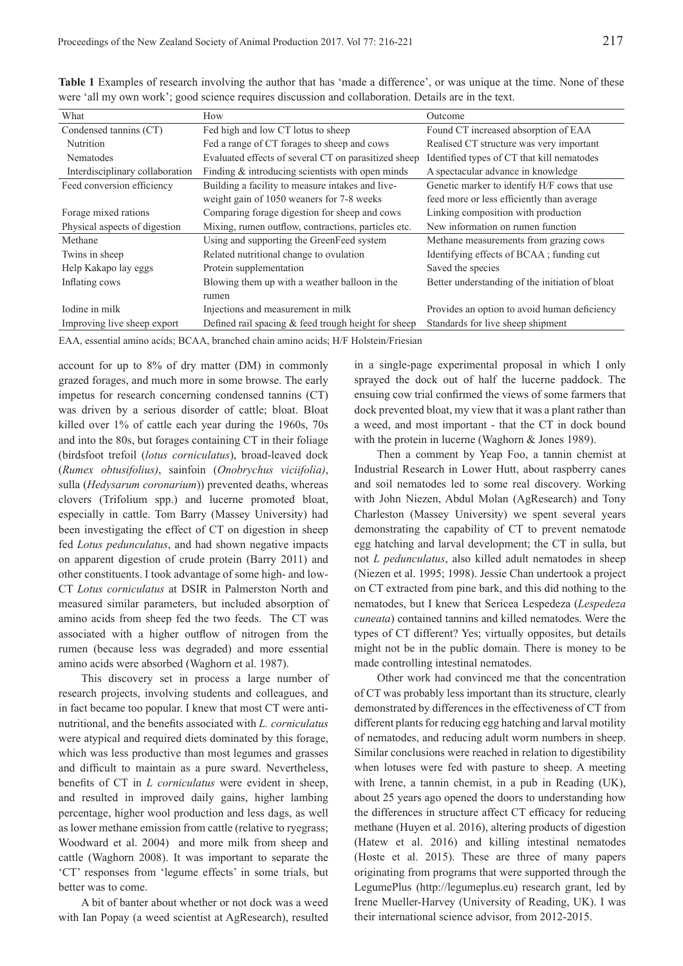| How                                                    | Outcome                                         |
|--------------------------------------------------------|-------------------------------------------------|
| Fed high and low CT lotus to sheep                     | Found CT increased absorption of EAA            |
| Fed a range of CT forages to sheep and cows            | Realised CT structure was very important        |
| Evaluated effects of several CT on parasitized sheep   | Identified types of CT that kill nematodes      |
| Finding $&$ introducing scientists with open minds     | A spectacular advance in knowledge              |
| Building a facility to measure intakes and live-       | Genetic marker to identify H/F cows that use    |
| weight gain of 1050 weaners for 7-8 weeks              | feed more or less efficiently than average      |
| Comparing forage digestion for sheep and cows          | Linking composition with production             |
| Mixing, rumen outflow, contractions, particles etc.    | New information on rumen function               |
| Using and supporting the GreenFeed system              | Methane measurements from grazing cows          |
| Related nutritional change to ovulation                | Identifying effects of BCAA; funding cut        |
| Protein supplementation                                | Saved the species                               |
| Blowing them up with a weather balloon in the          | Better understanding of the initiation of bloat |
| rumen                                                  |                                                 |
| Injections and measurement in milk                     | Provides an option to avoid human deficiency    |
| Defined rail spacing $\&$ feed trough height for sheep | Standards for live sheep shipment               |
|                                                        |                                                 |

**Table 1** Examples of research involving the author that has 'made a difference', or was unique at the time. None of these were 'all my own work'; good science requires discussion and collaboration. Details are in the text.

EAA, essential amino acids; BCAA, branched chain amino acids; H/F Holstein/Friesian

account for up to 8% of dry matter (DM) in commonly grazed forages, and much more in some browse. The early impetus for research concerning condensed tannins (CT) was driven by a serious disorder of cattle; bloat. Bloat killed over 1% of cattle each year during the 1960s, 70s and into the 80s, but forages containing CT in their foliage (birdsfoot trefoil (*lotus corniculatus*), broad-leaved dock (*Rumex obtusifolius)*, sainfoin (*Onobrychus viciifolia)*, sulla (*Hedysarum coronarium*)) prevented deaths, whereas clovers (Trifolium spp.) and lucerne promoted bloat, especially in cattle. Tom Barry (Massey University) had been investigating the effect of CT on digestion in sheep fed *Lotus pedunculatus*, and had shown negative impacts on apparent digestion of crude protein (Barry 2011) and other constituents. I took advantage of some high- and low-CT *Lotus corniculatus* at DSIR in Palmerston North and measured similar parameters, but included absorption of amino acids from sheep fed the two feeds. The CT was associated with a higher outflow of nitrogen from the rumen (because less was degraded) and more essential amino acids were absorbed (Waghorn et al. 1987).

This discovery set in process a large number of research projects, involving students and colleagues, and in fact became too popular. I knew that most CT were antinutritional, and the benefits associated with *L. corniculatus* were atypical and required diets dominated by this forage, which was less productive than most legumes and grasses and difficult to maintain as a pure sward. Nevertheless, benefits of CT in *L corniculatus* were evident in sheep, and resulted in improved daily gains, higher lambing percentage, higher wool production and less dags, as well as lower methane emission from cattle (relative to ryegrass; Woodward et al. 2004) and more milk from sheep and cattle (Waghorn 2008). It was important to separate the 'CT' responses from 'legume effects' in some trials, but better was to come.

A bit of banter about whether or not dock was a weed with Ian Popay (a weed scientist at AgResearch), resulted

in a single-page experimental proposal in which I only sprayed the dock out of half the lucerne paddock. The ensuing cow trial confirmed the views of some farmers that dock prevented bloat, my view that it was a plant rather than a weed, and most important - that the CT in dock bound with the protein in lucerne (Waghorn & Jones 1989).

Then a comment by Yeap Foo, a tannin chemist at Industrial Research in Lower Hutt, about raspberry canes and soil nematodes led to some real discovery. Working with John Niezen, Abdul Molan (AgResearch) and Tony Charleston (Massey University) we spent several years demonstrating the capability of CT to prevent nematode egg hatching and larval development; the CT in sulla, but not *L pedunculatus*, also killed adult nematodes in sheep (Niezen et al. 1995; 1998). Jessie Chan undertook a project on CT extracted from pine bark, and this did nothing to the nematodes, but I knew that Sericea Lespedeza (*Lespedeza cuneata*) contained tannins and killed nematodes. Were the types of CT different? Yes; virtually opposites, but details might not be in the public domain. There is money to be made controlling intestinal nematodes.

Other work had convinced me that the concentration of CT was probably less important than its structure, clearly demonstrated by differences in the effectiveness of CT from different plants for reducing egg hatching and larval motility of nematodes, and reducing adult worm numbers in sheep. Similar conclusions were reached in relation to digestibility when lotuses were fed with pasture to sheep. A meeting with Irene, a tannin chemist, in a pub in Reading (UK), about 25 years ago opened the doors to understanding how the differences in structure affect CT efficacy for reducing methane (Huyen et al. 2016), altering products of digestion (Hatew et al. 2016) and killing intestinal nematodes (Hoste et al. 2015). These are three of many papers originating from programs that were supported through the LegumePlus (http://legumeplus.eu) research grant, led by Irene Mueller-Harvey (University of Reading, UK). I was their international science advisor, from 2012-2015.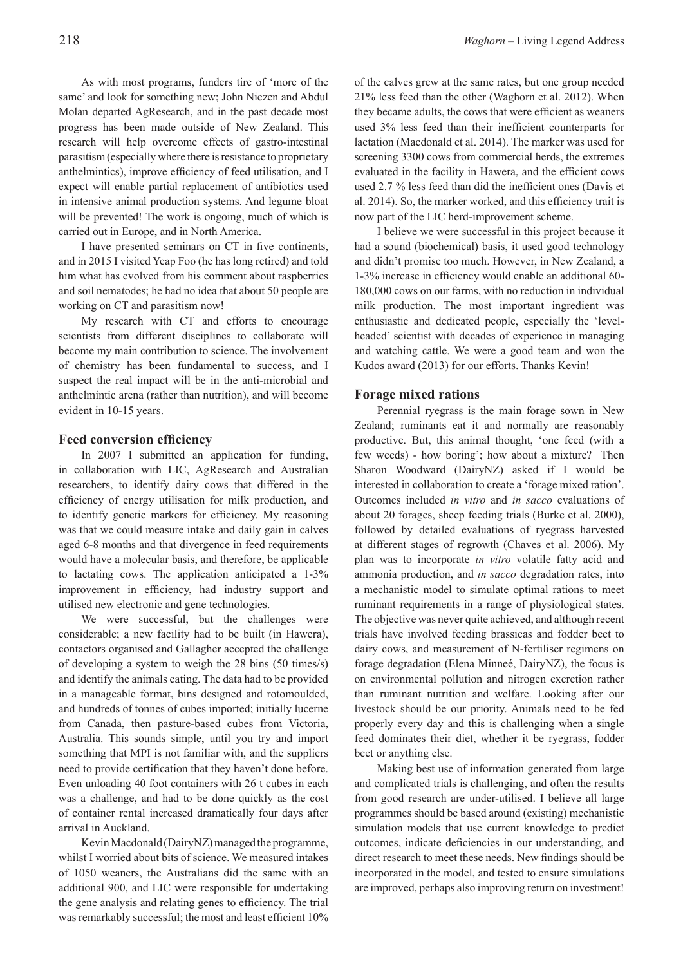As with most programs, funders tire of 'more of the same' and look for something new; John Niezen and Abdul Molan departed AgResearch, and in the past decade most progress has been made outside of New Zealand. This research will help overcome effects of gastro-intestinal parasitism (especially where there is resistance to proprietary anthelmintics), improve efficiency of feed utilisation, and I expect will enable partial replacement of antibiotics used in intensive animal production systems. And legume bloat will be prevented! The work is ongoing, much of which is carried out in Europe, and in North America.

I have presented seminars on CT in five continents, and in 2015 I visited Yeap Foo (he has long retired) and told him what has evolved from his comment about raspberries and soil nematodes; he had no idea that about 50 people are working on CT and parasitism now!

My research with CT and efforts to encourage scientists from different disciplines to collaborate will become my main contribution to science. The involvement of chemistry has been fundamental to success, and I suspect the real impact will be in the anti-microbial and anthelmintic arena (rather than nutrition), and will become evident in 10-15 years.

#### **Feed conversion efficiency**

In 2007 I submitted an application for funding, in collaboration with LIC, AgResearch and Australian researchers, to identify dairy cows that differed in the efficiency of energy utilisation for milk production, and to identify genetic markers for efficiency. My reasoning was that we could measure intake and daily gain in calves aged 6-8 months and that divergence in feed requirements would have a molecular basis, and therefore, be applicable to lactating cows. The application anticipated a 1-3% improvement in efficiency, had industry support and utilised new electronic and gene technologies.

We were successful, but the challenges were considerable; a new facility had to be built (in Hawera), contactors organised and Gallagher accepted the challenge of developing a system to weigh the 28 bins (50 times/s) and identify the animals eating. The data had to be provided in a manageable format, bins designed and rotomoulded, and hundreds of tonnes of cubes imported; initially lucerne from Canada, then pasture-based cubes from Victoria, Australia. This sounds simple, until you try and import something that MPI is not familiar with, and the suppliers need to provide certification that they haven't done before. Even unloading 40 foot containers with 26 t cubes in each was a challenge, and had to be done quickly as the cost of container rental increased dramatically four days after arrival in Auckland.

Kevin Macdonald (DairyNZ) managed the programme, whilst I worried about bits of science. We measured intakes of 1050 weaners, the Australians did the same with an additional 900, and LIC were responsible for undertaking the gene analysis and relating genes to efficiency. The trial was remarkably successful; the most and least efficient 10%

of the calves grew at the same rates, but one group needed 21% less feed than the other (Waghorn et al. 2012). When they became adults, the cows that were efficient as weaners used 3% less feed than their inefficient counterparts for lactation (Macdonald et al. 2014). The marker was used for screening 3300 cows from commercial herds, the extremes evaluated in the facility in Hawera, and the efficient cows used 2.7 % less feed than did the inefficient ones (Davis et al. 2014). So, the marker worked, and this efficiency trait is now part of the LIC herd-improvement scheme.

I believe we were successful in this project because it had a sound (biochemical) basis, it used good technology and didn't promise too much. However, in New Zealand, a 1-3% increase in efficiency would enable an additional 60- 180,000 cows on our farms, with no reduction in individual milk production. The most important ingredient was enthusiastic and dedicated people, especially the 'levelheaded' scientist with decades of experience in managing and watching cattle. We were a good team and won the Kudos award (2013) for our efforts. Thanks Kevin!

#### **Forage mixed rations**

Perennial ryegrass is the main forage sown in New Zealand; ruminants eat it and normally are reasonably productive. But, this animal thought, 'one feed (with a few weeds) - how boring'; how about a mixture? Then Sharon Woodward (DairyNZ) asked if I would be interested in collaboration to create a 'forage mixed ration'. Outcomes included *in vitro* and *in sacco* evaluations of about 20 forages, sheep feeding trials (Burke et al. 2000), followed by detailed evaluations of ryegrass harvested at different stages of regrowth (Chaves et al. 2006). My plan was to incorporate *in vitro* volatile fatty acid and ammonia production, and *in sacco* degradation rates, into a mechanistic model to simulate optimal rations to meet ruminant requirements in a range of physiological states. The objective was never quite achieved, and although recent trials have involved feeding brassicas and fodder beet to dairy cows, and measurement of N-fertiliser regimens on forage degradation (Elena Minneé, DairyNZ), the focus is on environmental pollution and nitrogen excretion rather than ruminant nutrition and welfare. Looking after our livestock should be our priority. Animals need to be fed properly every day and this is challenging when a single feed dominates their diet, whether it be ryegrass, fodder beet or anything else.

Making best use of information generated from large and complicated trials is challenging, and often the results from good research are under-utilised. I believe all large programmes should be based around (existing) mechanistic simulation models that use current knowledge to predict outcomes, indicate deficiencies in our understanding, and direct research to meet these needs. New findings should be incorporated in the model, and tested to ensure simulations are improved, perhaps also improving return on investment!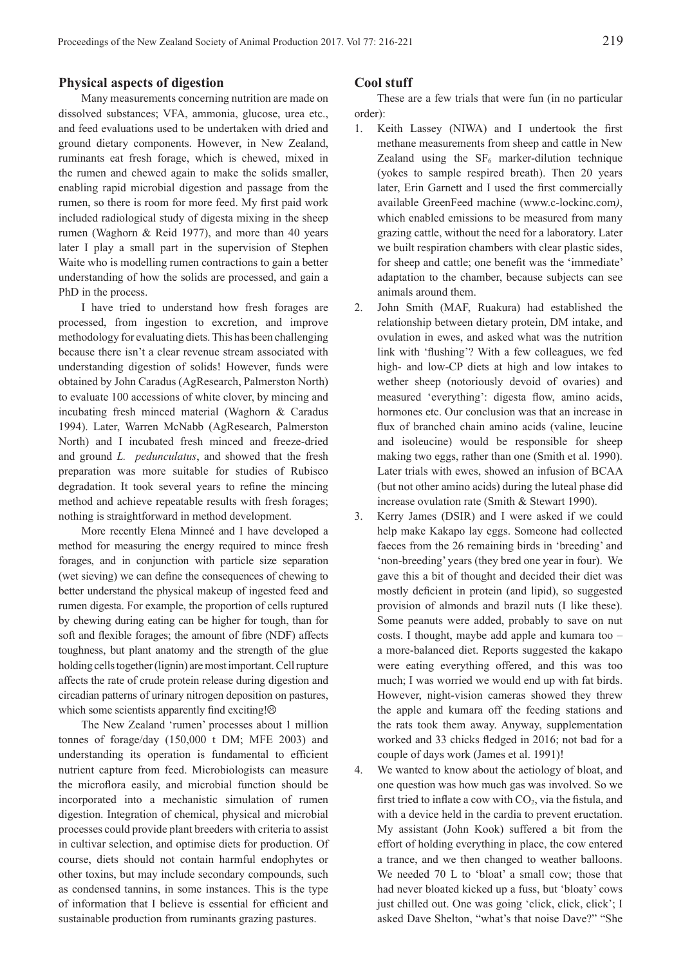#### **Physical aspects of digestion**

Many measurements concerning nutrition are made on dissolved substances; VFA, ammonia, glucose, urea etc., and feed evaluations used to be undertaken with dried and ground dietary components. However, in New Zealand, ruminants eat fresh forage, which is chewed, mixed in the rumen and chewed again to make the solids smaller, enabling rapid microbial digestion and passage from the rumen, so there is room for more feed. My first paid work included radiological study of digesta mixing in the sheep rumen (Waghorn & Reid 1977), and more than 40 years later I play a small part in the supervision of Stephen Waite who is modelling rumen contractions to gain a better understanding of how the solids are processed, and gain a PhD in the process.

I have tried to understand how fresh forages are processed, from ingestion to excretion, and improve methodology for evaluating diets. This has been challenging because there isn't a clear revenue stream associated with understanding digestion of solids! However, funds were obtained by John Caradus (AgResearch, Palmerston North) to evaluate 100 accessions of white clover, by mincing and incubating fresh minced material (Waghorn & Caradus 1994). Later, Warren McNabb (AgResearch, Palmerston North) and I incubated fresh minced and freeze-dried and ground *L. pedunculatus*, and showed that the fresh preparation was more suitable for studies of Rubisco degradation. It took several years to refine the mincing method and achieve repeatable results with fresh forages; nothing is straightforward in method development.

More recently Elena Minneé and I have developed a method for measuring the energy required to mince fresh forages, and in conjunction with particle size separation (wet sieving) we can define the consequences of chewing to better understand the physical makeup of ingested feed and rumen digesta. For example, the proportion of cells ruptured by chewing during eating can be higher for tough, than for soft and flexible forages; the amount of fibre (NDF) affects toughness, but plant anatomy and the strength of the glue holding cells together (lignin) are most important. Cell rupture affects the rate of crude protein release during digestion and circadian patterns of urinary nitrogen deposition on pastures, which some scientists apparently find exciting! $\odot$ 

The New Zealand 'rumen' processes about 1 million tonnes of forage/day (150,000 t DM; MFE 2003) and understanding its operation is fundamental to efficient nutrient capture from feed. Microbiologists can measure the microflora easily, and microbial function should be incorporated into a mechanistic simulation of rumen digestion. Integration of chemical, physical and microbial processes could provide plant breeders with criteria to assist in cultivar selection, and optimise diets for production. Of course, diets should not contain harmful endophytes or other toxins, but may include secondary compounds, such as condensed tannins, in some instances. This is the type of information that I believe is essential for efficient and sustainable production from ruminants grazing pastures.

#### **Cool stuff**

These are a few trials that were fun (in no particular order):

- 1. Keith Lassey (NIWA) and I undertook the first methane measurements from sheep and cattle in New Zealand using the  $SF<sub>6</sub>$  marker-dilution technique (yokes to sample respired breath). Then 20 years later, Erin Garnett and I used the first commercially available GreenFeed machine (www.c-lockinc.com*)*, which enabled emissions to be measured from many grazing cattle, without the need for a laboratory. Later we built respiration chambers with clear plastic sides, for sheep and cattle; one benefit was the 'immediate' adaptation to the chamber, because subjects can see animals around them.
- 2. John Smith (MAF, Ruakura) had established the relationship between dietary protein, DM intake, and ovulation in ewes, and asked what was the nutrition link with 'flushing'? With a few colleagues, we fed high- and low-CP diets at high and low intakes to wether sheep (notoriously devoid of ovaries) and measured 'everything': digesta flow, amino acids, hormones etc. Our conclusion was that an increase in flux of branched chain amino acids (valine, leucine and isoleucine) would be responsible for sheep making two eggs, rather than one (Smith et al. 1990). Later trials with ewes, showed an infusion of BCAA (but not other amino acids) during the luteal phase did increase ovulation rate (Smith & Stewart 1990).
- 3. Kerry James (DSIR) and I were asked if we could help make Kakapo lay eggs. Someone had collected faeces from the 26 remaining birds in 'breeding' and 'non-breeding' years (they bred one year in four). We gave this a bit of thought and decided their diet was mostly deficient in protein (and lipid), so suggested provision of almonds and brazil nuts (I like these). Some peanuts were added, probably to save on nut costs. I thought, maybe add apple and kumara too – a more-balanced diet. Reports suggested the kakapo were eating everything offered, and this was too much; I was worried we would end up with fat birds. However, night-vision cameras showed they threw the apple and kumara off the feeding stations and the rats took them away. Anyway, supplementation worked and 33 chicks fledged in 2016; not bad for a couple of days work (James et al. 1991)!

4. We wanted to know about the aetiology of bloat, and one question was how much gas was involved. So we first tried to inflate a cow with  $CO<sub>2</sub>$ , via the fistula, and with a device held in the cardia to prevent eructation. My assistant (John Kook) suffered a bit from the effort of holding everything in place, the cow entered a trance, and we then changed to weather balloons. We needed 70 L to 'bloat' a small cow; those that had never bloated kicked up a fuss, but 'bloaty' cows just chilled out. One was going 'click, click, click'; I asked Dave Shelton, "what's that noise Dave?" "She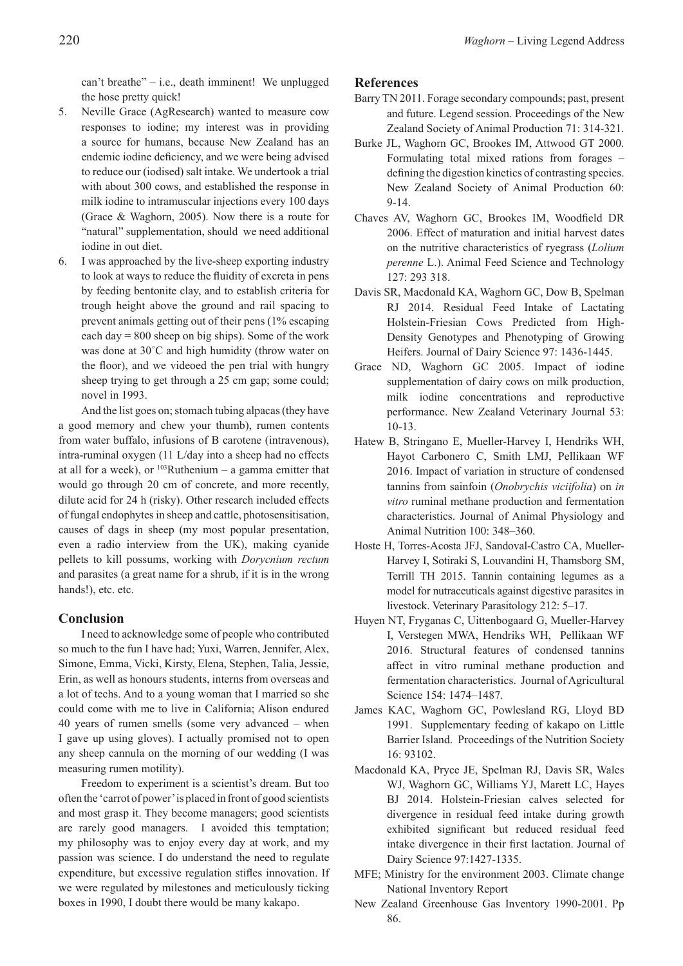can't breathe" – i.e., death imminent! We unplugged the hose pretty quick!

- 5. Neville Grace (AgResearch) wanted to measure cow responses to iodine; my interest was in providing a source for humans, because New Zealand has an endemic iodine deficiency, and we were being advised to reduce our (iodised) salt intake. We undertook a trial with about 300 cows, and established the response in milk iodine to intramuscular injections every 100 days (Grace & Waghorn, 2005). Now there is a route for "natural" supplementation, should we need additional iodine in out diet.
- 6. I was approached by the live-sheep exporting industry to look at ways to reduce the fluidity of excreta in pens by feeding bentonite clay, and to establish criteria for trough height above the ground and rail spacing to prevent animals getting out of their pens (1% escaping each day  $= 800$  sheep on big ships). Some of the work was done at 30˚C and high humidity (throw water on the floor), and we videoed the pen trial with hungry sheep trying to get through a 25 cm gap; some could; novel in 1993.

And the list goes on; stomach tubing alpacas (they have a good memory and chew your thumb), rumen contents from water buffalo, infusions of B carotene (intravenous), intra-ruminal oxygen (11 L/day into a sheep had no effects at all for a week), or  $103$ Ruthenium – a gamma emitter that would go through 20 cm of concrete, and more recently, dilute acid for 24 h (risky). Other research included effects of fungal endophytes in sheep and cattle, photosensitisation, causes of dags in sheep (my most popular presentation, even a radio interview from the UK), making cyanide pellets to kill possums, working with *Dorycnium rectum* and parasites (a great name for a shrub, if it is in the wrong hands!), etc. etc.

## **Conclusion**

I need to acknowledge some of people who contributed so much to the fun I have had; Yuxi, Warren, Jennifer, Alex, Simone, Emma, Vicki, Kirsty, Elena, Stephen, Talia, Jessie, Erin, as well as honours students, interns from overseas and a lot of techs. And to a young woman that I married so she could come with me to live in California; Alison endured 40 years of rumen smells (some very advanced – when I gave up using gloves). I actually promised not to open any sheep cannula on the morning of our wedding (I was measuring rumen motility).

Freedom to experiment is a scientist's dream. But too often the 'carrot of power' is placed in front of good scientists and most grasp it. They become managers; good scientists are rarely good managers. I avoided this temptation; my philosophy was to enjoy every day at work, and my passion was science. I do understand the need to regulate expenditure, but excessive regulation stifles innovation. If we were regulated by milestones and meticulously ticking boxes in 1990, I doubt there would be many kakapo.

## **References**

- Barry TN 2011. Forage secondary compounds; past, present and future. Legend session. Proceedings of the New Zealand Society of Animal Production 71: 314-321.
- Burke JL, Waghorn GC, Brookes IM, Attwood GT 2000. Formulating total mixed rations from forages – defining the digestion kinetics of contrasting species. New Zealand Society of Animal Production 60: 9-14.
- Chaves AV, Waghorn GC, Brookes IM, Woodfield DR 2006. Effect of maturation and initial harvest dates on the nutritive characteristics of ryegrass (*Lolium perenne* L.). Animal Feed Science and Technology 127: 293 318.
- Davis SR, Macdonald KA, Waghorn GC, Dow B, Spelman RJ 2014. Residual Feed Intake of Lactating Holstein-Friesian Cows Predicted from High-Density Genotypes and Phenotyping of Growing Heifers. Journal of Dairy Science 97: 1436-1445.
- Grace ND, Waghorn GC 2005. Impact of iodine supplementation of dairy cows on milk production, milk iodine concentrations and reproductive performance. New Zealand Veterinary Journal 53: 10-13.
- Hatew B, Stringano E, Mueller-Harvey I, Hendriks WH, Hayot Carbonero C, Smith LMJ, Pellikaan WF 2016. Impact of variation in structure of condensed tannins from sainfoin (*Onobrychis viciifolia*) on *in vitro* ruminal methane production and fermentation characteristics. Journal of Animal Physiology and Animal Nutrition 100: 348–360.
- Hoste H, Torres-Acosta JFJ, Sandoval-Castro CA, Mueller-Harvey I, Sotiraki S, Louvandini H, Thamsborg SM, Terrill TH 2015. Tannin containing legumes as a model for nutraceuticals against digestive parasites in livestock. Veterinary Parasitology 212: 5–17.
- Huyen NT, Fryganas C, Uittenbogaard G, Mueller-Harvey I, Verstegen MWA, Hendriks WH, Pellikaan WF 2016. Structural features of condensed tannins affect in vitro ruminal methane production and fermentation characteristics. Journal of Agricultural Science 154: 1474–1487.
- James KAC, Waghorn GC, Powlesland RG, Lloyd BD 1991. Supplementary feeding of kakapo on Little Barrier Island. Proceedings of the Nutrition Society 16: 93102.
- Macdonald KA, Pryce JE, Spelman RJ, Davis SR, Wales WJ, Waghorn GC, Williams YJ, Marett LC, Hayes BJ 2014. Holstein-Friesian calves selected for divergence in residual feed intake during growth exhibited significant but reduced residual feed intake divergence in their first lactation. Journal of Dairy Science 97:1427-1335.
- MFE; Ministry for the environment 2003. Climate change National Inventory Report
- New Zealand Greenhouse Gas Inventory 1990-2001. Pp 86.